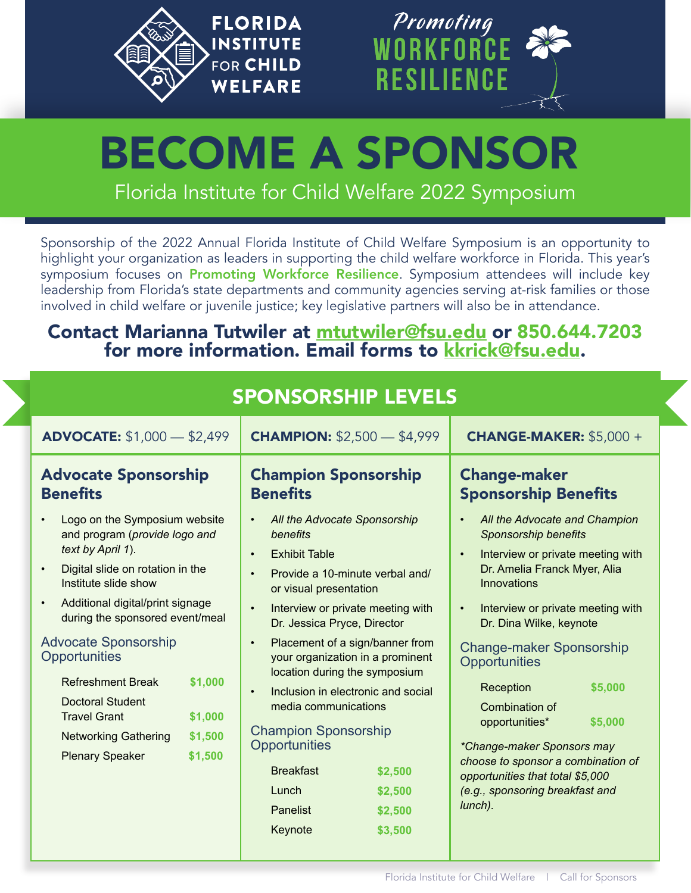



# Florida Institute for Child Welfare 2022 Symposium BECOME A SPONSOR

Sponsorship of the 2022 Annual Florida Institute of Child Welfare Symposium is an opportunity to highlight your organization as leaders in supporting the child welfare workforce in Florida. This year's symposium focuses on Promoting Workforce Resilience. Symposium attendees will include key leadership from Florida's state departments and community agencies serving at-risk families or those involved in child welfare or juvenile justice; key legislative partners will also be in attendance.

### Contact Marianna Tutwiler at mtutwiler@fsu.edu or 850.644.7203 for more information. Email forms to kkrick@fsu.edu.

| <b>SPONSORSHIP LEVELS</b>                                                                                                                                                                                                                                                                                                  |                                                                                                                                                                                                                                                                                                                                                                                                                                                                      |                                                                                                                                                                                                                                                                                              |  |  |
|----------------------------------------------------------------------------------------------------------------------------------------------------------------------------------------------------------------------------------------------------------------------------------------------------------------------------|----------------------------------------------------------------------------------------------------------------------------------------------------------------------------------------------------------------------------------------------------------------------------------------------------------------------------------------------------------------------------------------------------------------------------------------------------------------------|----------------------------------------------------------------------------------------------------------------------------------------------------------------------------------------------------------------------------------------------------------------------------------------------|--|--|
| <b>ADVOCATE:</b> \$1,000 - \$2,499                                                                                                                                                                                                                                                                                         | <b>CHAMPION: \$2,500 - \$4,999</b>                                                                                                                                                                                                                                                                                                                                                                                                                                   | <b>CHANGE-MAKER: \$5,000 +</b>                                                                                                                                                                                                                                                               |  |  |
| <b>Advocate Sponsorship</b><br><b>Benefits</b>                                                                                                                                                                                                                                                                             | <b>Champion Sponsorship</b><br><b>Benefits</b>                                                                                                                                                                                                                                                                                                                                                                                                                       | <b>Change-maker</b><br><b>Sponsorship Benefits</b>                                                                                                                                                                                                                                           |  |  |
| Logo on the Symposium website<br>and program (provide logo and<br>text by April 1).<br>Digital slide on rotation in the<br>Institute slide show<br>Additional digital/print signage<br>$\bullet$<br>during the sponsored event/meal<br><b>Advocate Sponsorship</b><br>Opportunities<br>\$1,000<br><b>Refreshment Break</b> | All the Advocate Sponsorship<br>$\bullet$<br>$\bullet$<br>benefits<br><b>Exhibit Table</b><br>$\bullet$<br>$\bullet$<br>Provide a 10-minute verbal and/<br>$\bullet$<br>or visual presentation<br>Interview or private meeting with<br>$\bullet$<br>$\bullet$<br>Dr. Jessica Pryce, Director<br>Placement of a sign/banner from<br>$\bullet$<br>your organization in a prominent<br>location during the symposium<br>Inclusion in electronic and social<br>$\bullet$ | All the Advocate and Champion<br><b>Sponsorship benefits</b><br>Interview or private meeting with<br>Dr. Amelia Franck Myer, Alia<br>Innovations<br>Interview or private meeting with<br>Dr. Dina Wilke, keynote<br><b>Change-maker Sponsorship</b><br>Opportunities<br>Reception<br>\$5,000 |  |  |
| <b>Doctoral Student</b><br><b>Travel Grant</b><br>\$1,000<br>\$1,500<br><b>Networking Gathering</b><br>\$1,500<br><b>Plenary Speaker</b>                                                                                                                                                                                   | media communications<br><b>Champion Sponsorship</b><br>Opportunities<br><b>Breakfast</b><br>\$2,500<br>Lunch<br>\$2,500<br>Panelist<br>\$2,500                                                                                                                                                                                                                                                                                                                       | Combination of<br>\$5,000<br>opportunities*<br>*Change-maker Sponsors may<br>choose to sponsor a combination of<br>opportunities that total \$5,000<br>(e.g., sponsoring breakfast and<br>lunch).                                                                                            |  |  |
|                                                                                                                                                                                                                                                                                                                            | Keynote<br>\$3,500                                                                                                                                                                                                                                                                                                                                                                                                                                                   |                                                                                                                                                                                                                                                                                              |  |  |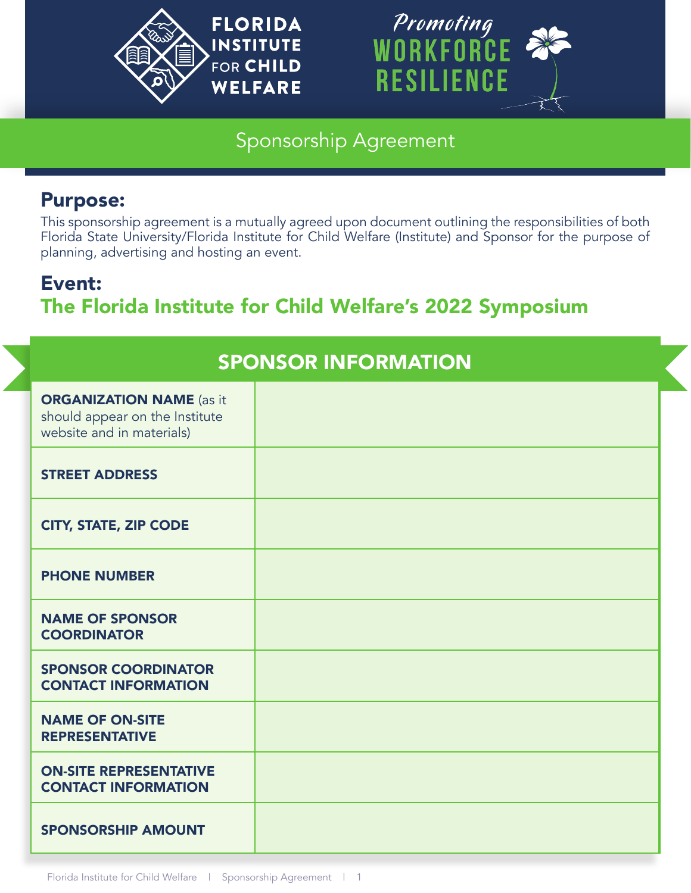



# Sponsorship Agreement

# Purpose:

This sponsorship agreement is a mutually agreed upon document outlining the responsibilities of both Florida State University/Florida Institute for Child Welfare (Institute) and Sponsor for the purpose of planning, advertising and hosting an event.

# Event: The Florida Institute for Child Welfare's 2022 Symposium

| <b>SPONSOR INFORMATION</b>                                                                     |  |  |
|------------------------------------------------------------------------------------------------|--|--|
| <b>ORGANIZATION NAME</b> (as it<br>should appear on the Institute<br>website and in materials) |  |  |
| <b>STREET ADDRESS</b>                                                                          |  |  |
| <b>CITY, STATE, ZIP CODE</b>                                                                   |  |  |
| <b>PHONE NUMBER</b>                                                                            |  |  |
| <b>NAME OF SPONSOR</b><br><b>COORDINATOR</b>                                                   |  |  |
| <b>SPONSOR COORDINATOR</b><br><b>CONTACT INFORMATION</b>                                       |  |  |
| <b>NAME OF ON-SITE</b><br><b>REPRESENTATIVE</b>                                                |  |  |
| <b>ON-SITE REPRESENTATIVE</b><br><b>CONTACT INFORMATION</b>                                    |  |  |
| <b>SPONSORSHIP AMOUNT</b>                                                                      |  |  |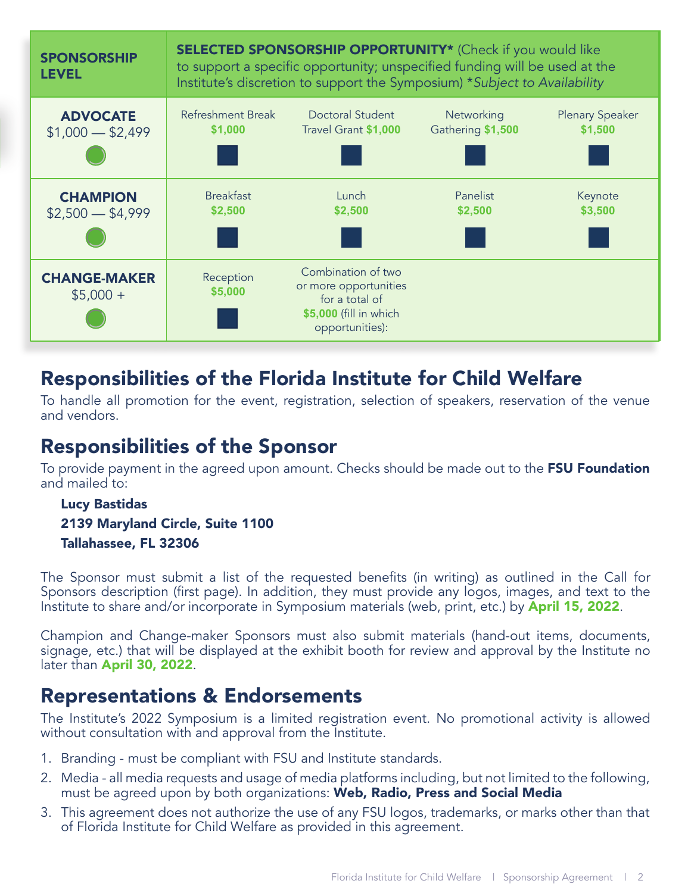

# Responsibilities of the Florida Institute for Child Welfare

To handle all promotion for the event, registration, selection of speakers, reservation of the venue and vendors.

# Responsibilities of the Sponsor

To provide payment in the agreed upon amount. Checks should be made out to the FSU Foundation and mailed to:

#### Lucy Bastidas 2139 Maryland Circle, Suite 1100 Tallahassee, FL 32306

The Sponsor must submit a list of the requested benefits (in writing) as outlined in the Call for Sponsors description (first page). In addition, they must provide any logos, images, and text to the Institute to share and/or incorporate in Symposium materials (web, print, etc.) by **April 15, 2022**.

Champion and Change-maker Sponsors must also submit materials (hand-out items, documents, signage, etc.) that will be displayed at the exhibit booth for review and approval by the Institute no later than April 30, 2022.

# **Representations & Endorsements**

The Institute's 2022 Symposium is a limited registration event. No promotional activity is allowed without consultation with and approval from the Institute.

- 1. Branding must be compliant with FSU and Institute standards.
- 2. Media all media requests and usage of media platforms including, but not limited to the following, must be agreed upon by both organizations: Web, Radio, Press and Social Media
- 3. This agreement does not authorize the use of any FSU logos, trademarks, or marks other than that of Florida Institute for Child Welfare as provided in this agreement.